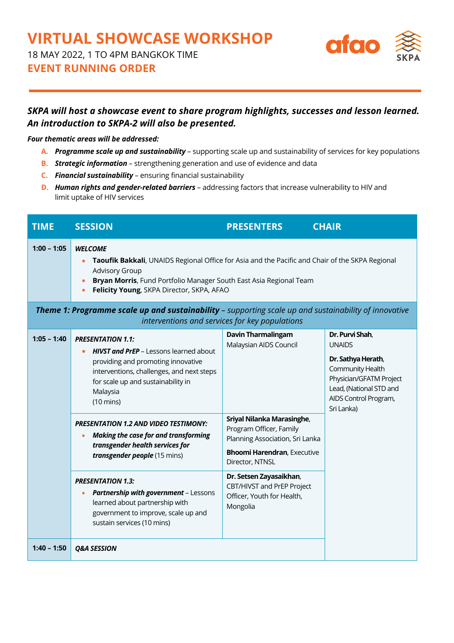## **VIRTUAL SHOWCASE WORKSHOP**

18 MAY 2022, 1 TO 4PM BANGKOK TIME

**EVENT RUNNING ORDER**



## *SKPA will host a showcase event to share program highlights, successes and lesson learned. An introduction to SKPA-2 will also be presented.*

## *Four thematic areas will be addressed:*

- **A.** *Programme scale up and sustainability* supporting scale up and sustainability of services for key populations
- **B.** *Strategic information* strengthening generation and use of evidence and data
- **C.** *Financial sustainability* ensuring financial sustainability
- **D.** *Human rights and gender-related barriers* addressing factors that increase vulnerability to HIV and limit uptake of HIV services

| <b>TIME</b>                                    | <b>SESSION</b>                                                                                                                                                                                                                                                                                                                                                                                                                      | <b>PRESENTERS</b>                                                                                                                                                                                                                   | <b>CHAIR</b>                                                                                                                                                            |  |  |  |
|------------------------------------------------|-------------------------------------------------------------------------------------------------------------------------------------------------------------------------------------------------------------------------------------------------------------------------------------------------------------------------------------------------------------------------------------------------------------------------------------|-------------------------------------------------------------------------------------------------------------------------------------------------------------------------------------------------------------------------------------|-------------------------------------------------------------------------------------------------------------------------------------------------------------------------|--|--|--|
| $1:00 - 1:05$                                  | <b>WELCOME</b><br>Taoufik Bakkali, UNAIDS Regional Office for Asia and the Pacific and Chair of the SKPA Regional<br><b>Advisory Group</b><br>Bryan Morris, Fund Portfolio Manager South East Asia Regional Team<br>Felicity Young, SKPA Director, SKPA, AFAO<br>Theme 1: Programme scale up and sustainability - supporting scale up and sustainability of innovative                                                              |                                                                                                                                                                                                                                     |                                                                                                                                                                         |  |  |  |
| interventions and services for key populations |                                                                                                                                                                                                                                                                                                                                                                                                                                     |                                                                                                                                                                                                                                     |                                                                                                                                                                         |  |  |  |
| $1:05 - 1:40$                                  | <b>PRESENTATION 1.1:</b><br><b>HIVST and PrEP - Lessons learned about</b><br>providing and promoting innovative<br>interventions, challenges, and next steps<br>for scale up and sustainability in<br>Malaysia<br>$(10 \text{ mins})$<br><b>PRESENTATION 1.2 AND VIDEO TESTIMONY:</b><br><b>Making the case for and transforming</b><br>transgender health services for<br>transgender people (15 mins)<br><b>PRESENTATION 1.3:</b> | <b>Davin Tharmalingam</b><br>Malaysian AIDS Council<br>Sriyal Nilanka Marasinghe,<br>Program Officer, Family<br>Planning Association, Sri Lanka<br><b>Bhoomi Harendran, Executive</b><br>Director, NTNSL<br>Dr. Setsen Zayasaikhan, | Dr. Purvi Shah,<br><b>UNAIDS</b><br>Dr. Sathya Herath,<br>Community Health<br>Physician/GFATM Project<br>Lead, (National STD and<br>AIDS Control Program,<br>Sri Lanka) |  |  |  |
| $1:40 - 1:50$                                  | Partnership with government - Lessons<br>$\bullet$<br>learned about partnership with<br>government to improve, scale up and<br>sustain services (10 mins)<br><b>Q&amp;A SESSION</b>                                                                                                                                                                                                                                                 | CBT/HIVST and PrEP Project<br>Officer, Youth for Health,<br>Mongolia                                                                                                                                                                |                                                                                                                                                                         |  |  |  |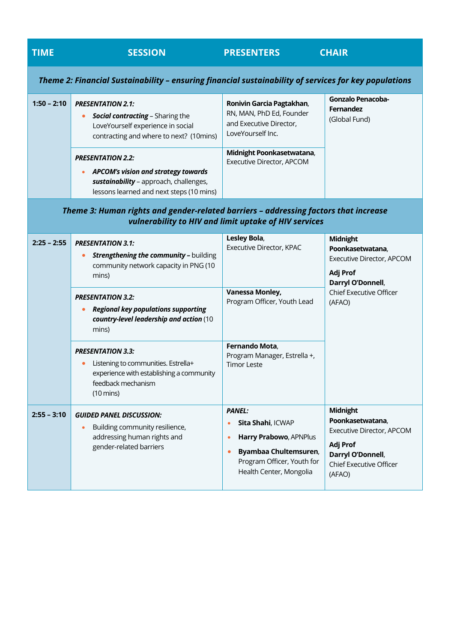| <b>TIME</b>                                                                                                                                   | <b>SESSION</b>                                                                                                                                                                                                                                                                                                                         | <b>PRESENTERS</b>                                                                                                                                                             | <b>CHAIR</b>                                                                                                                                  |  |  |  |
|-----------------------------------------------------------------------------------------------------------------------------------------------|----------------------------------------------------------------------------------------------------------------------------------------------------------------------------------------------------------------------------------------------------------------------------------------------------------------------------------------|-------------------------------------------------------------------------------------------------------------------------------------------------------------------------------|-----------------------------------------------------------------------------------------------------------------------------------------------|--|--|--|
| Theme 2: Financial Sustainability - ensuring financial sustainability of services for key populations                                         |                                                                                                                                                                                                                                                                                                                                        |                                                                                                                                                                               |                                                                                                                                               |  |  |  |
| $1:50 - 2:10$                                                                                                                                 | <b>PRESENTATION 2.1:</b><br>Social contracting - Sharing the<br>$\bullet$<br>LoveYourself experience in social<br>contracting and where to next? (10mins)<br><b>PRESENTATION 2.2:</b><br><b>APCOM's vision and strategy towards</b><br>$\bullet$<br>sustainability - approach, challenges,<br>lessons learned and next steps (10 mins) | Ronivin Garcia Pagtakhan,<br>RN, MAN, PhD Ed, Founder<br>and Executive Director,<br>LoveYourself Inc.<br>Midnight Poonkasetwatana,<br>Executive Director, APCOM               | <b>Gonzalo Penacoba-</b><br><b>Fernandez</b><br>(Global Fund)                                                                                 |  |  |  |
| Theme 3: Human rights and gender-related barriers - addressing factors that increase<br>vulnerability to HIV and limit uptake of HIV services |                                                                                                                                                                                                                                                                                                                                        |                                                                                                                                                                               |                                                                                                                                               |  |  |  |
| $2:25 - 2:55$                                                                                                                                 | <b>PRESENTATION 3.1:</b><br><b>Strengthening the community - building</b><br>$\bullet$<br>community network capacity in PNG (10<br>mins)                                                                                                                                                                                               | Lesley Bola,<br>Executive Director, KPAC<br><b>Vanessa Monley,</b>                                                                                                            | <b>Midnight</b><br>Poonkasetwatana,<br>Executive Director, APCOM<br>Adj Prof<br>Darryl O'Donnell,<br><b>Chief Executive Officer</b><br>(AFAO) |  |  |  |
|                                                                                                                                               | <b>PRESENTATION 3.2:</b><br><b>Regional key populations supporting</b><br>country-level leadership and action (10<br>mins)                                                                                                                                                                                                             | Program Officer, Youth Lead                                                                                                                                                   |                                                                                                                                               |  |  |  |
|                                                                                                                                               | <b>PRESENTATION 3.3:</b><br>Listening to communities. Estrella+<br>experience with establishing a community<br>feedback mechanism<br>$(10 \text{ mins})$                                                                                                                                                                               | Fernando Mota,<br>Program Manager, Estrella +,<br><b>Timor Leste</b>                                                                                                          |                                                                                                                                               |  |  |  |
| $2:55 - 3:10$                                                                                                                                 | <b>GUIDED PANEL DISCUSSION:</b><br>Building community resilience,<br>addressing human rights and<br>gender-related barriers                                                                                                                                                                                                            | <b>PANEL:</b><br>Sita Shahi, ICWAP<br>۰<br>Harry Prabowo, APNPlus<br>$\bullet$<br>Byambaa Chultemsuren,<br>$\bullet$<br>Program Officer, Youth for<br>Health Center, Mongolia | <b>Midnight</b><br>Poonkasetwatana,<br>Executive Director, APCOM<br>Adj Prof<br>Darryl O'Donnell,<br><b>Chief Executive Officer</b><br>(AFAO) |  |  |  |